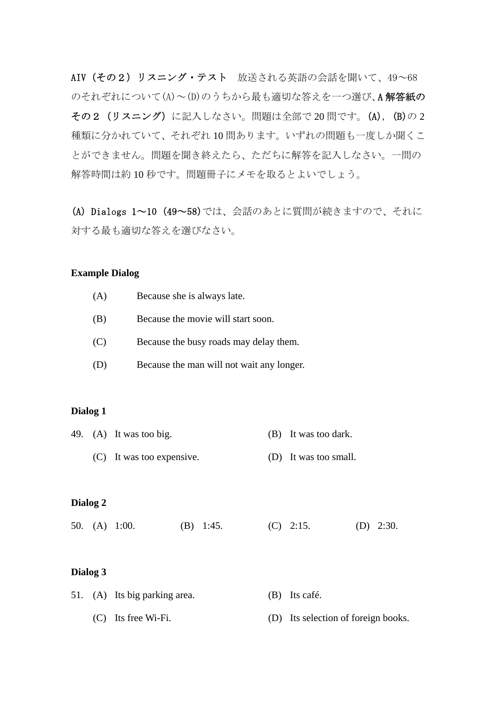AIV(その2) リスニング・テスト 放送される英語の会話を聞いて、49~68 のそれぞれについて(A)~(D)のうちから最も適切な答えを一つ選び、A 解答紙の その2 (リスニング)に記入しなさい。問題は全部で 20 問です。(A), (B)の 2 種類に分かれていて、それぞれ 10 問あります。いずれの問題も一度しか聞くこ とができません。問題を聞き終えたら、ただちに解答を記入しなさい。一問の 解答時間は約 10 秒です。問題冊子にメモを取るとよいでしょう。

(A) Dialogs 1~10 (49~58)では、会話のあとに質問が続きますので、それに 対する最も適切な答えを選びなさい。

## **Example Dialog**

- (A) Because she is always late.
- (B) Because the movie will start soon.
- (C) Because the busy roads may delay them.
- (D) Because the man will not wait any longer.

#### **Dialog 1**

- 49. (A) It was too big. (B) It was too dark.
	- (C) It was too expensive. (D) It was too small.

#### **Dialog 2**

50. (A) 1:00. (B) 1:45. (C) 2:15. (D) 2:30.

## **Dialog 3**

- 51. (A) Its big parking area. (B) Its café.
	- (C) Its free Wi-Fi. (D) Its selection of foreign books.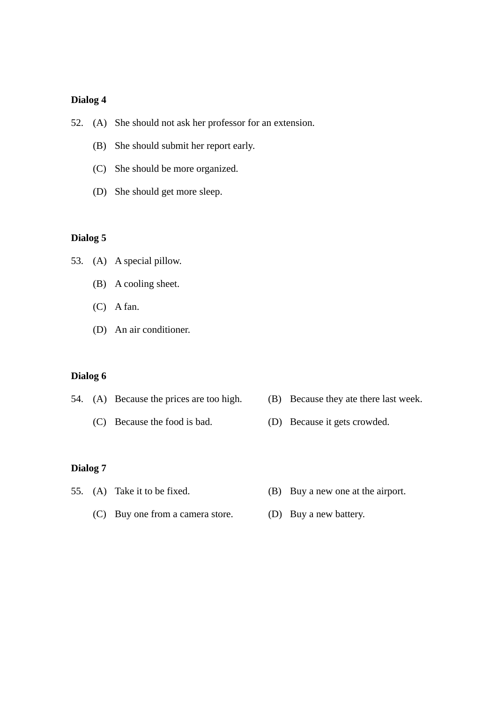# **Dialog 4**

- 52. (A) She should not ask her professor for an extension.
	- (B) She should submit her report early.
	- (C) She should be more organized.
	- (D) She should get more sleep.

## **Dialog 5**

53. (A) A special pillow.

- (B) A cooling sheet.
- (C) A fan.
- (D) An air conditioner.

## **Dialog 6**

- 54. (A) Because the prices are too high. (B) Because they ate there last week.
	-
- 
- (C) Because the food is bad. (D) Because it gets crowded.

## **Dialog 7**

- 
- 55. (A) Take it to be fixed. (B) Buy a new one at the airport.
	- (C) Buy one from a camera store. (D) Buy a new battery.
		-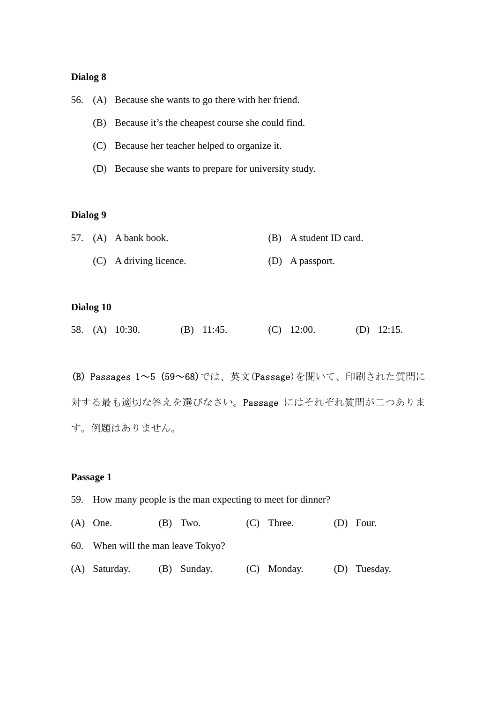## **Dialog 8**

56. (A) Because she wants to go there with her friend.

- (B) Because it's the cheapest course she could find.
- (C) Because her teacher helped to organize it.
- (D) Because she wants to prepare for university study.

## **Dialog 9**

|  | 57. (A) A bank book.   | (B) A student ID card. |
|--|------------------------|------------------------|
|  | (C) A driving licence. | (D) A passport.        |

## **Dialog 10**

|  |  | 58. (A) 10:30. |  | (B) $11:45$ . |  | $(C)$ 12:00. |  | (D) $12:15$ . |
|--|--|----------------|--|---------------|--|--------------|--|---------------|
|--|--|----------------|--|---------------|--|--------------|--|---------------|

(B) Passages 1~5 (59~68)では、英文(Passage)を聞いて、印刷された質問に 対する最も適切な答えを選びなさい。Passage にはそれぞれ質問が二つありま す。例題はありません。

## **Passage 1**

- 59. How many people is the man expecting to meet for dinner?
- (A) One. (B) Two. (C) Three. (D) Four.

60. When will the man leave Tokyo?

(A) Saturday. (B) Sunday. (C) Monday. (D) Tuesday.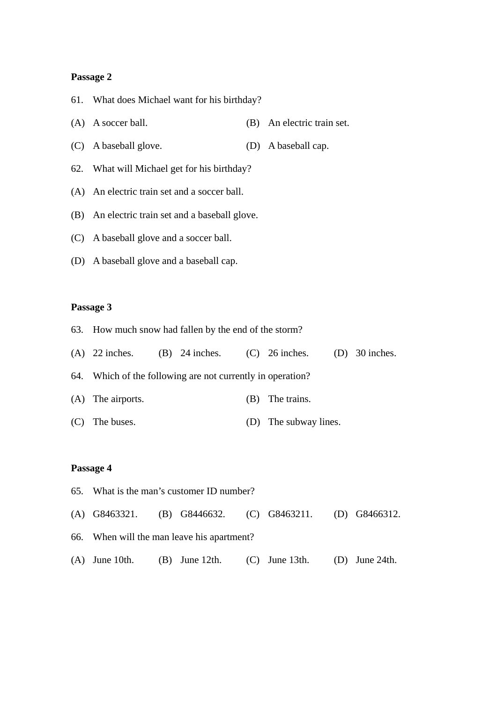#### **Passage 2**

- 61. What does Michael want for his birthday?
- (A) A soccer ball. (B) An electric train set.
- (C) A baseball glove. (D) A baseball cap.
- 62. What will Michael get for his birthday?
- (A) An electric train set and a soccer ball.
- (B) An electric train set and a baseball glove.
- (C) A baseball glove and a soccer ball.
- (D) A baseball glove and a baseball cap.

## **Passage 3**

- 63. How much snow had fallen by the end of the storm?
- (A) 22 inches. (B) 24 inches. (C) 26 inches. (D) 30 inches. 64. Which of the following are not currently in operation? (A) The airports. (B) The trains.
- (C) The buses. (D) The subway lines.

## **Passage 4**

65. What is the man's customer ID number? (A) G8463321. (B) G8446632. (C) G8463211. (D) G8466312. 66. When will the man leave his apartment? (A) June 10th. (B) June 12th. (C) June 13th. (D) June 24th.